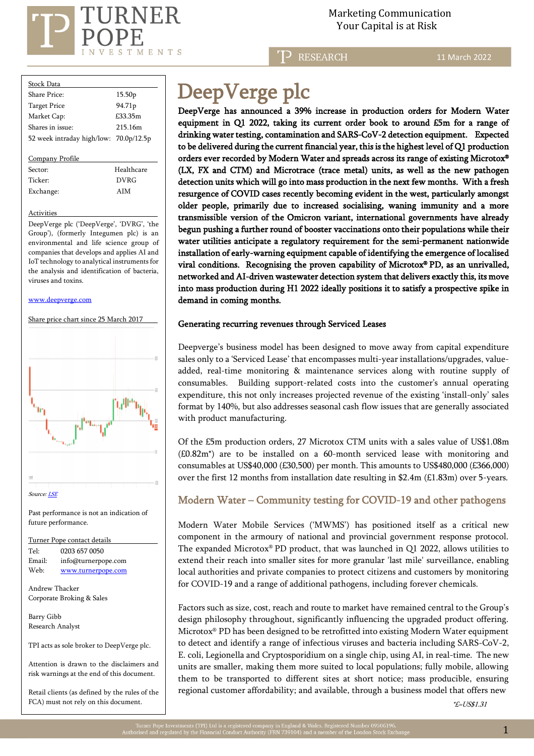

 Marketing Communication  $\mathrm{RNER} \hspace{2.5cm}$ Marketing Communicat<br>Your Capital is at Risk

**RESEARCH** 

11 March 2022

| Stock Data                             |                    |
|----------------------------------------|--------------------|
| Share Price:                           | 15.50 <sub>p</sub> |
| <b>Target Price</b>                    | 94.71p             |
| Market Cap:                            | £33.35m            |
| Shares in issue:                       | 215.16m            |
| 52 week intraday high/low: 70.0p/12.5p |                    |
|                                        |                    |
| Company Profile                        |                    |
| Sector:                                | Healthcare         |
| Ticker <sup>.</sup>                    | <b>DVRG</b>        |
| Exchange:                              | AIM                |
|                                        |                    |

**Activities** 

DeepVerge plc ('DeepVerge', 'DVRG', 'the Group'), (formerly Integumen plc) is an environmental and life science group of companies that develops and applies AI and IoT technology to analytical instruments for the analysis and identification of bacteria, viruses and toxins.

[www.deepverge.com](http://www.deepverge.com/)



Turner Pope contact details Tel: [0203](tel:0203) 657 0050 Email: info@turnerpope.com Web: [www.turnerpope.com](http://www.turnerpope.com/)

Andrew Thacker Corporate Broking & Sales

Barry Gibb Research Analyst

֡֡֡֡֡֡֡

TPI acts as sole broker to DeepVerge plc.

Attention is drawn to the disclaimers and risk warnings at the end of this document.

Retail clients (as defined by the rules of the FCA) must not rely on this document.

# DeepVerge plc

DeepVerge has announced a 39% increase in production orders for Modern Water equipment in Q1 2022, taking its current order book to around £5m for a range of drinking water testing, contamination and SARS-CoV-2 detection equipment. Expected to be delivered during the current financial year, this is the highest level of Q1 production orders ever recorded by Modern Water and spreads across its range of existing Microtox® (LX, FX and CTM) and Microtrace (trace metal) units, as well as the new pathogen detection units which will go into mass production in the next few months. With a fresh resurgence of COVID cases recently becoming evident in the west, particularly amongst older people, primarily due to increased socialising, waning immunity and a more transmissible version of the Omicron variant, international governments have already begun pushing a further round of booster vaccinations onto their populations while their water utilities anticipate a regulatory requirement for the semi-permanent nationwide installation of early-warning equipment capable of identifying the emergence of localised viral conditions. Recognising the proven capability of Microtox® PD, as an unrivalled, networked and AI-driven wastewater detection system that delivers exactly this, its move into mass production during H1 2022 ideally positions it to satisfy a prospective spike in demand in coming months.

## Generating recurring revenues through Serviced Leases

Deepverge's business model has been designed to move away from capital expenditure sales only to a 'Serviced Lease' that encompasses multi-year installations/upgrades, valueadded, real-time monitoring & maintenance services along with routine supply of consumables. Building support-related costs into the customer's annual operating expenditure, this not only increases projected revenue of the existing 'install-only' sales format by 140%, but also addresses seasonal cash flow issues that are generally associated with product manufacturing.

Of the £5m production orders, 27 Microtox CTM units with a sales value of US\$1.08m (£0.82m\*) are to be installed on a 60-month serviced lease with monitoring and consumables at US\$40,000 (£30,500) per month. This amounts to US\$480,000 (£366,000) over the first 12 months from installation date resulting in \$2.4m (£1.83m) over 5-years.

## Modern Water – Community testing for COVID-19 and other pathogens

Modern Water Mobile Services ('MWMS') has positioned itself as a critical new component in the armoury of national and provincial government response protocol. The expanded Microtox® PD product, that was launched in  $Q1$  2022, allows utilities to extend their reach into smaller sites for more granular 'last mile' surveillance, enabling local authorities and private companies to protect citizens and customers by monitoring for COVID-19 and a range of additional pathogens, including forever chemicals.

Factors such as size, cost, reach and route to market have remained central to the Group's design philosophy throughout, significantly influencing the upgraded product offering. Microtox® PD has been designed to be retrofitted into existing Modern Water equipment to detect and identify a range of infectious viruses and bacteria including SARS-CoV-2, E. coli, Legionella and Cryptosporidium on a single chip, using AI, in real-time. The new units are smaller, making them more suited to local populations; fully mobile, allowing them to be transported to different sites at short notice; mass producible, ensuring regional customer affordability; and available, through a business model that offers new

 $E = US$1.31$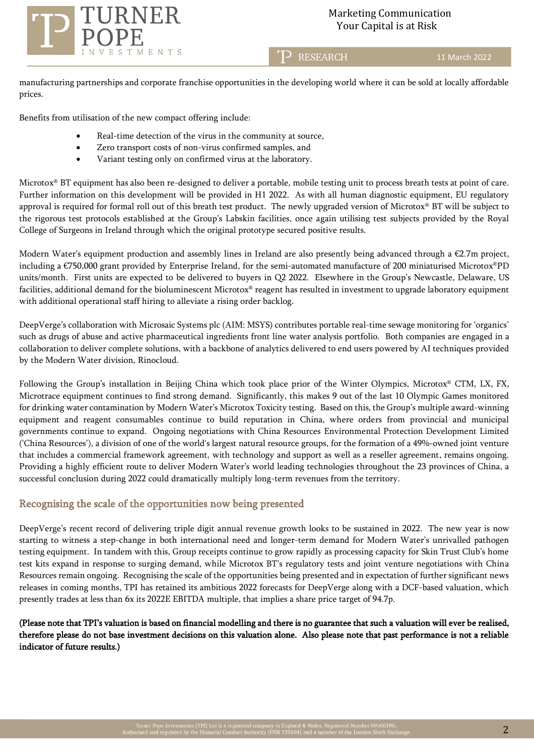

T<sub>2</sub> RESEARCH

11 March 2022

manufacturing partnerships and corporate franchise opportunities in the developing world where it can be sold at locally affordable prices.

Benefits from utilisation of the new compact offering include:

- Real-time detection of the virus in the community at source,
- Zero transport costs of non-virus confirmed samples, and
- Variant testing only on confirmed virus at the laboratory.

Microtox® BT equipment has also been re-designed to deliver a portable, mobile testing unit to process breath tests at point of care. Further information on this development will be provided in H1 2022. As with all human diagnostic equipment, EU regulatory approval is required for formal roll out of this breath test product. The newly upgraded version of Microtox® BT will be subject to the rigorous test protocols established at the Group's Labskin facilities, once again utilising test subjects provided by the Royal College of Surgeons in Ireland through which the original prototype secured positive results.

Modern Water's equipment production and assembly lines in Ireland are also presently being advanced through a €2.7m project, including a €750,000 grant provided by Enterprise Ireland, for the semi-automated manufacture of 200 miniaturised Microtox®PD units/month. First units are expected to be delivered to buyers in Q2 2022. Elsewhere in the Group's Newcastle, Delaware, US facilities, additional demand for the bioluminescent Microtox® reagent has resulted in investment to upgrade laboratory equipment with additional operational staff hiring to alleviate a rising order backlog.

DeepVerge's collaboration with Microsaic Systems plc (AIM: MSYS) contributes portable real-time sewage monitoring for 'organics' such as drugs of abuse and active pharmaceutical ingredients front line water analysis portfolio. Both companies are engaged in a collaboration to deliver complete solutions, with a backbone of analytics delivered to end users powered by AI techniques provided by the Modern Water division, Rinocloud.

Following the Group's installation in Beijing China which took place prior of the Winter Olympics, Microtox® CTM, LX, FX, Microtrace equipment continues to find strong demand. Significantly, this makes 9 out of the last 10 Olympic Games monitored for drinking water contamination by Modern Water's Microtox Toxicity testing. Based on this, the Group's multiple award-winning equipment and reagent consumables continue to build reputation in China, where orders from provincial and municipal governments continue to expand. Ongoing negotiations with China Resources Environmental Protection Development Limited ('China Resources'), a division of one of the world's largest natural resource groups, for the formation of a 49%-owned joint venture that includes a commercial framework agreement, with technology and support as well as a reseller agreement, remains ongoing. Providing a highly efficient route to deliver Modern Water's world leading technologies throughout the 23 provinces of China, a successful conclusion during 2022 could dramatically multiply long-term revenues from the territory.

## Recognising the scale of the opportunities now being presented

DeepVerge's recent record of delivering triple digit annual revenue growth looks to be sustained in 2022. The new year is now starting to witness a step-change in both international need and longer-term demand for Modern Water's unrivalled pathogen testing equipment. In tandem with this, Group receipts continue to grow rapidly as processing capacity for Skin Trust Club's home test kits expand in response to surging demand, while Microtox BT's regulatory tests and joint venture negotiations with China Resources remain ongoing. Recognising the scale of the opportunities being presented and in expectation of further significant news releases in coming months, TPI has retained its ambitious 2022 forecasts for DeepVerge along with a DCF-based valuation, which presently trades at less than 6x its 2022E EBITDA multiple, that implies a share price target of 94.7p.

(Please note that TPI's valuation is based on financial modelling and there is no guarantee that such a valuation will ever be realised, therefore please do not base investment decisions on this valuation alone. Also please note that past performance is not a reliable indicator of future results.)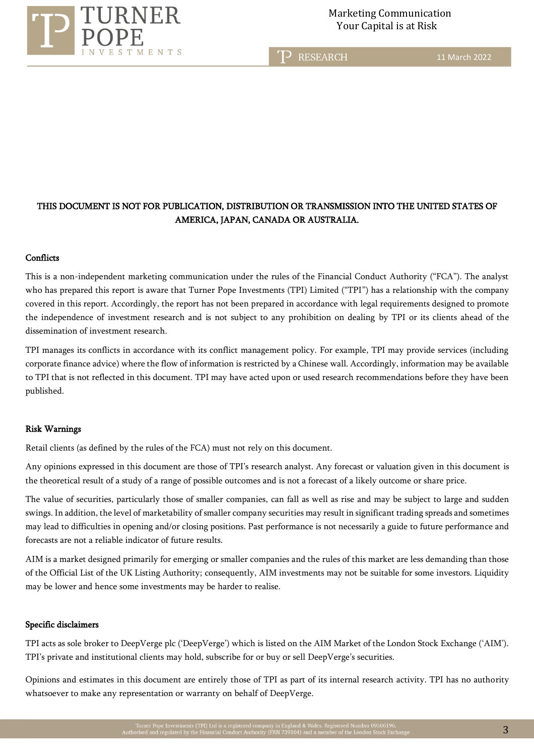

T<sub>2</sub> RESEARCH

11 March 2022

## THIS DOCUMENT IS NOT FOR PUBLICATION, DISTRIBUTION OR TRANSMISSION INTO THE UNITED STATES OF AMERICA, JAPAN, CANADA OR AUSTRALIA.

## **Conflicts**

This is a non-independent marketing communication under the rules of the Financial Conduct Authority ("FCA"). The analyst who has prepared this report is aware that Turner Pope Investments (TPI) Limited ("TPI") has a relationship with the company covered in this report. Accordingly, the report has not been prepared in accordance with legal requirements designed to promote the independence of investment research and is not subject to any prohibition on dealing by TPI or its clients ahead of the dissemination of investment research.

TPI manages its conflicts in accordance with its conflict management policy. For example, TPI may provide services (including corporate finance advice) where the flow of information is restricted by a Chinese wall. Accordingly, information may be available to TPI that is not reflected in this document. TPI may have acted upon or used research recommendations before they have been published.

### Risk Warnings

Retail clients (as defined by the rules of the FCA) must not rely on this document.

Any opinions expressed in this document are those of TPI's research analyst. Any forecast or valuation given in this document is the theoretical result of a study of a range of possible outcomes and is not a forecast of a likely outcome or share price.

The value of securities, particularly those of smaller companies, can fall as well as rise and may be subject to large and sudden swings. In addition, the level of marketability of smaller company securities may result in significant trading spreads and sometimes may lead to difficulties in opening and/or closing positions. Past performance is not necessarily a guide to future performance and forecasts are not a reliable indicator of future results.

AIM is a market designed primarily for emerging or smaller companies and the rules of this market are less demanding than those of the Official List of the UK Listing Authority; consequently, AIM investments may not be suitable for some investors. Liquidity may be lower and hence some investments may be harder to realise.

### Specific disclaimers

TPI acts as sole broker to DeepVerge plc ('DeepVerge') which is listed on the AIM Market of the London Stock Exchange ('AIM'). TPI's private and institutional clients may hold, subscribe for or buy or sell DeepVerge's securities.

Opinions and estimates in this document are entirely those of TPI as part of its internal research activity. TPI has no authority whatsoever to make any representation or warranty on behalf of DeepVerge.